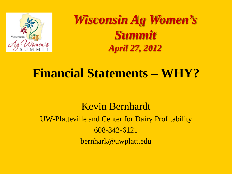

*Wisconsin Ag Women's Summit April 27, 2012*

### **Financial Statements – WHY?**

Kevin Bernhardt UW-Platteville and Center for Dairy Profitability 608-342-6121 bernhark@uwplatt.edu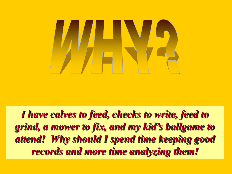

*I have calves to feed, checks to write, feed to grind, a mower to fix, and my kid's ballgame to attend! Why should I spend time keeping good records and more time analyzing them!*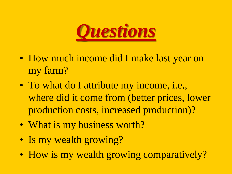

- How much income did I make last year on my farm?
- To what do I attribute my income, i.e., where did it come from (better prices, lower production costs, increased production)?
- What is my business worth?
- Is my wealth growing?
- How is my wealth growing comparatively?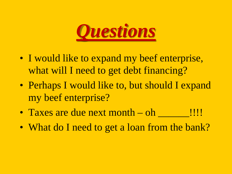

- I would like to expand my beef enterprise, what will I need to get debt financing?
- Perhaps I would like to, but should I expand my beef enterprise?
- Taxes are due next month oh \_\_\_\_\_\_!!!!
- What do I need to get a loan from the bank?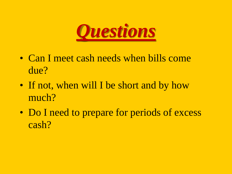

- Can I meet cash needs when bills come due?
- If not, when will I be short and by how much?
- Do I need to prepare for periods of excess cash?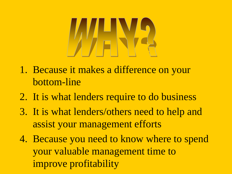- 1. Because it makes a difference on your bottom-line
- 2. It is what lenders require to do business
- 3. It is what lenders/others need to help and assist your management efforts
- 4. Because you need to know where to spend your valuable management time to improve profitability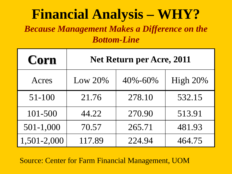#### **Financial Analysis – WHY?** *Because Management Makes a Difference on the Bottom-Line*

| Corn        | Net Return per Acre, 2011 |               |          |  |  |
|-------------|---------------------------|---------------|----------|--|--|
| Acres       | Low $20\%$                | $40\% - 60\%$ | High 20% |  |  |
| $51 - 100$  | 21.76                     | 278.10        | 532.15   |  |  |
| 101-500     | 44.22                     | 270.90        | 513.91   |  |  |
| 501-1,000   | 70.57                     | 265.71        | 481.93   |  |  |
| 1,501-2,000 | 117.89                    | 224.94        | 464.75   |  |  |

Source: Center for Farm Financial Management, UOM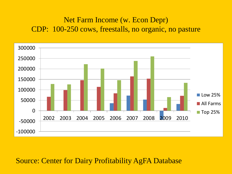#### Net Farm Income (w. Econ Depr) CDP: 100-250 cows, freestalls, no organic, no pasture



#### Source: Center for Dairy Profitability AgFA Database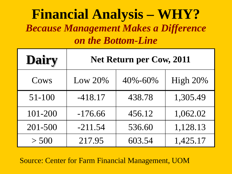#### **Financial Analysis – WHY?** *Because Management Makes a Difference on the Bottom-Line*

| <b>Dairy</b> | Net Return per Cow, 2011 |         |          |  |  |
|--------------|--------------------------|---------|----------|--|--|
| Cows         | Low 20%                  | 40%-60% | High 20% |  |  |
| $51 - 100$   | $-418.17$                | 438.78  | 1,305.49 |  |  |
| 101-200      | $-176.66$                | 456.12  | 1,062.02 |  |  |
| 201-500      | $-211.54$                | 536.60  | 1,128.13 |  |  |
| > 500        | 217.95                   | 603.54  | 1,425.17 |  |  |

Source: Center for Farm Financial Management, UOM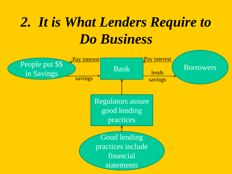# *2. It is What Lenders Require to Do Business*

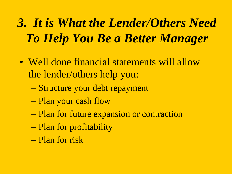# *3. It is What the Lender/Others Need To Help You Be a Better Manager*

- Well done financial statements will allow the lender/others help you:
	- Structure your debt repayment
	- Plan your cash flow
	- Plan for future expansion or contraction
	- Plan for profitability
	- Plan for risk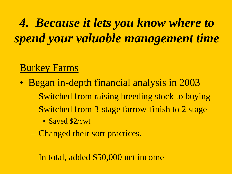*4. Because it lets you know where to spend your valuable management time*

#### Burkey Farms

- Began in-depth financial analysis in 2003
	- Switched from raising breeding stock to buying
	- Switched from 3-stage farrow-finish to 2 stage
		- Saved \$2/cwt
	- Changed their sort practices.

– In total, added \$50,000 net income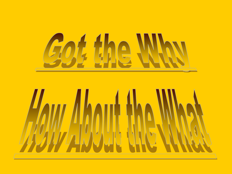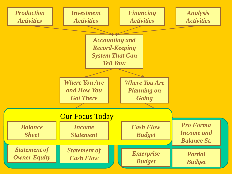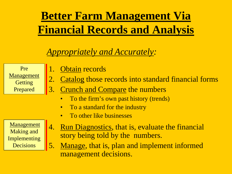## **Better Farm Management Via Financial Records and Analysis**

#### *Appropriately and Accurately:*

Pre Management **Getting** Prepared

- 1. Obtain records
- 2. Catalog those records into standard financial forms
- 3. Crunch and Compare the numbers
	- To the firm's own past history (trends)
	- To a standard for the industry
	- To other like businesses

**Management** Making and Implementing **Decisions** 

- 4. Run Diagnostics, that is, evaluate the financial story being told by the numbers.
- 5. Manage, that is, plan and implement informed management decisions.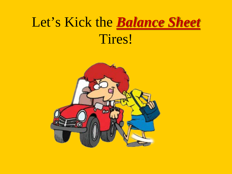# Let's Kick the *Balance Sheet* Tires!

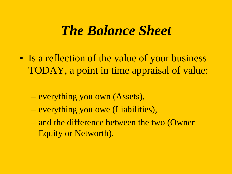#### *The Balance Sheet*

- Is a reflection of the value of your business TODAY, a point in time appraisal of value:
	- everything you own (Assets),
	- everything you owe (Liabilities),
	- and the difference between the two (Owner Equity or Networth).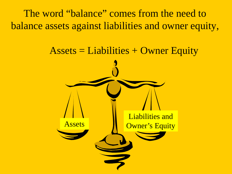The word "balance" comes from the need to balance assets against liabilities and owner equity,

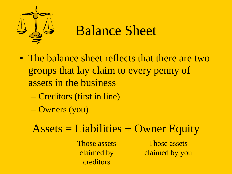

## Balance Sheet

- The balance sheet reflects that there are two groups that lay claim to every penny of assets in the business
	- Creditors (first in line)
	- Owners (you)

#### $\text{Assets} = \text{Liabilities} + \text{Owner}$  Equity

Those assets claimed by creditors

Those assets claimed by you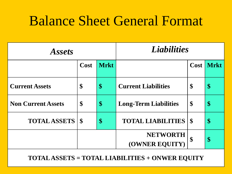## Balance Sheet General Format

| <i><b>Assets</b></i>      |               | <b>Liabilities</b> |                                   |                           |      |
|---------------------------|---------------|--------------------|-----------------------------------|---------------------------|------|
|                           | Cost          | <b>Mrkt</b>        |                                   | <b>Cost</b>               | Mrkt |
| <b>Current Assets</b>     | \$            | $\boldsymbol{\$}$  | <b>Current Liabilities</b>        | \$                        | \$   |
| <b>Non Current Assets</b> | \$            | $\boldsymbol{\$}$  | <b>Long-Term Liabilities</b>      | \$                        | \$   |
| <b>TOTAL ASSETS</b>       | $\mathbf{\$}$ | \$                 | <b>TOTAL LIABILITIES</b>          | $\boldsymbol{\mathsf{S}}$ | \$   |
|                           |               |                    | <b>NETWORTH</b><br>(OWNER EQUITY) | \$                        | \$   |

**TOTAL ASSETS = TOTAL LIABILITIES + ONWER EQUITY**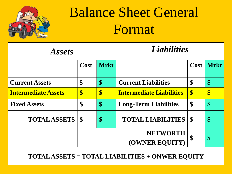

# Balance Sheet General Format

| <i><b>Assets</b></i>       |             |                   | <b>Liabilities</b>                |                    |      |
|----------------------------|-------------|-------------------|-----------------------------------|--------------------|------|
|                            | Cost        | <b>Mrkt</b>       |                                   | Cost <sup>1</sup>  | Mrkt |
| <b>Current Assets</b>      | \$          | \$                | <b>Current Liabilities</b>        | \$                 | \$   |
| <b>Intermediate Assets</b> | \$          | \$                | <b>Intermediate Liabilities</b>   | $\boldsymbol{\$\}$ | \$   |
| <b>Fixed Assets</b>        | \$          | $\boldsymbol{\$}$ | <b>Long-Term Liabilities</b>      | \$                 | \$   |
| <b>TOTAL ASSETS</b>        | $\mathbf S$ | \$                | <b>TOTAL LIABILITIES</b>          | $\mathbf{\$}$      | \$   |
|                            |             |                   | <b>NETWORTH</b><br>(OWNER EQUITY) | $\mathbf S$        | \$   |

**TOTAL ASSETS = TOTAL LIABILITIES + ONWER EQUITY**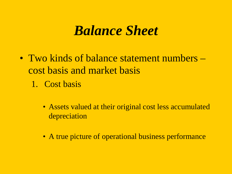#### *Balance Sheet*

- Two kinds of balance statement numbers cost basis and market basis
	- 1. Cost basis
		- Assets valued at their original cost less accumulated depreciation
		- A true picture of operational business performance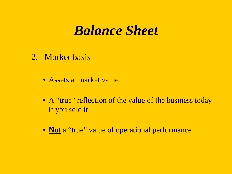#### *Balance Sheet*

- 2. Market basis
	- Assets at market value.
	- A "true" reflection of the value of the business today if you sold it
	- **Not** a "true" value of operational performance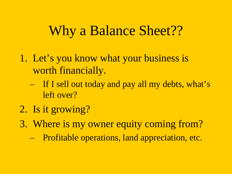## Why a Balance Sheet??

- 1. Let's you know what your business is worth financially.
	- If I sell out today and pay all my debts, what's left over?
- 2. Is it growing?
- 3. Where is my owner equity coming from?
	- Profitable operations, land appreciation, etc.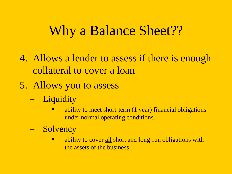## Why a Balance Sheet??

- 4. Allows a lender to assess if there is enough collateral to cover a loan
- 5. Allows you to assess
	- Liquidity
		- ability to meet short-term (1 year) financial obligations under normal operating conditions.
	- Solvency
		- ability to cover all short and long-run obligations with the assets of the business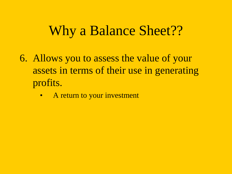## Why a Balance Sheet??

- 6. Allows you to assess the value of your assets in terms of their use in generating profits.
	- A return to your investment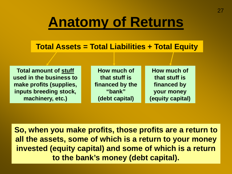# **Anatomy of Returns**

#### **Total Assets = Total Liabilities + Total Equity**

**Total amount of stuff used in the business to make profits (supplies, inputs breeding stock, machinery, etc.)** 

**How much of that stuff is financed by the "bank" (debt capital)**

**How much of that stuff is financed by your money (equity capital)**

**So, when you make profits, those profits are a return to all the assets, some of which is a return to your money invested (equity capital) and some of which is a return to the bank's money (debt capital).**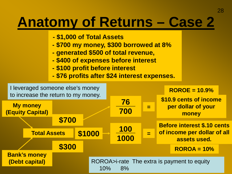# **Anatomy of Returns – Case 2**

- **- \$1,000 of Total Assets**
- **- \$700 my money, \$300 borrowed at 8%**
- **- generated \$500 of total revenue,**
- **- \$400 of expenses before interest**
- **- \$100 profit before interest**
- **- \$76 profits after \$24 interest expenses.**

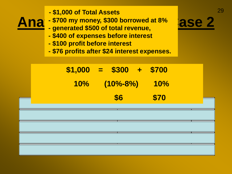- 29 **- \$1,000 of Total Assets**
- **Ana** \$700 my money, \$300 borrowed at 8% **ase 2** 
	- **- generated \$500 of total revenue,**
	- **- \$400 of expenses before interest**
	- **- \$100 profit before interest**
	- **- \$76 profits after \$24 interest expenses.**

|  | $$1,000 = $300 + $700$ |      |  |
|--|------------------------|------|--|
|  | $10\%$ $(10\% - 8\%)$  | 10%  |  |
|  | \$6                    | \$70 |  |
|  |                        |      |  |

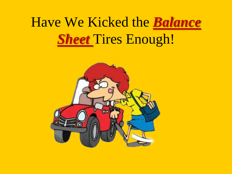# Have We Kicked the *Balance Sheet* Tires Enough!

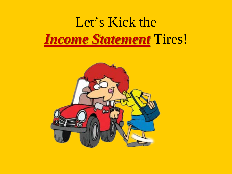# Let's Kick the *Income Statement* Tires!

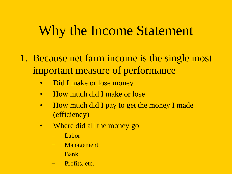## Why the Income Statement

- 1. Because net farm income is the single most important measure of performance
	- Did I make or lose money
	- How much did I make or lose
	- How much did I pay to get the money I made (efficiency)
	- Where did all the money go
		- Labor
		- − Management
		- − Bank
		- − Profits, etc.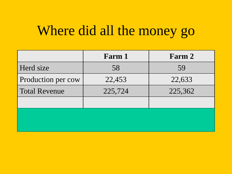## Where did all the money go

|                      | Farm 1  | Farm 2  |
|----------------------|---------|---------|
| Herd size            | 58      | 59      |
| Production per cow   | 22,453  | 22,633  |
| <b>Total Revenue</b> | 225,724 | 225,362 |
|                      |         |         |
|                      |         |         |
|                      |         |         |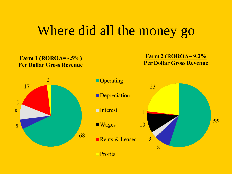#### Where did all the money go

#### Farm 1 (ROROA= $-.5\%$ ) **Per Dollar Gross Revenue**

**Farm 2 (ROROA= 9.2% Per Dollar Gross Revenue** 





- **Depreciation**
- $\blacksquare$  Interest
- $\blacksquare$  Wages
- Rents  $&$  Leases
	- $\Box$  Profits

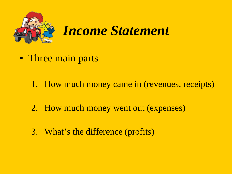

- Three main parts
	- 1. How much money came in (revenues, receipts)
	- 2. How much money went out (expenses)
	- 3. What's the difference (profits)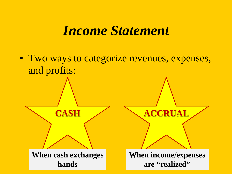#### *Income Statement*

• Two ways to categorize revenues, expenses, and profits: **CASH ACCRUAL When cash exchanges hands When income/expenses are "realized"**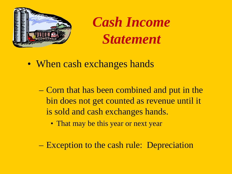

*Cash Income Statement*

- When cash exchanges hands
	- Corn that has been combined and put in the bin does not get counted as revenue until it is sold and cash exchanges hands.
		- That may be this year or next year
	- Exception to the cash rule: Depreciation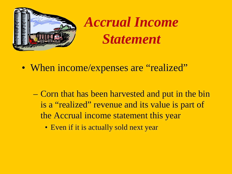

*Accrual Income Statement*

- When income/expenses are "realized"
	- Corn that has been harvested and put in the bin is a "realized" revenue and its value is part of the Accrual income statement this year
		- Even if it is actually sold next year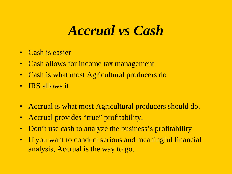#### *Accrual vs Cash*

- Cash is easier
- Cash allows for income tax management
- Cash is what most Agricultural producers do
- IRS allows it
- Accrual is what most Agricultural producers should do.
- Accrual provides "true" profitability.
- Don't use cash to analyze the business's profitability
- If you want to conduct serious and meaningful financial analysis, Accrual is the way to go.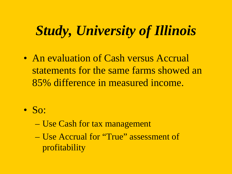## *Study, University of Illinois*

- An evaluation of Cash versus Accrual statements for the same farms showed an 85% difference in measured income.
- $\bullet$  So:
	- Use Cash for tax management
	- Use Accrual for "True" assessment of profitability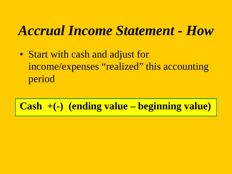#### *Accrual Income Statement - How*

• Start with cash and adjust for income/expenses "realized" this accounting period

**Cash +(-) (ending value – beginning value)**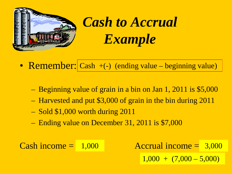

*Cash to Accrual Example*

- Remember: Cash +(-) (ending value beginning value)
	- Beginning value of grain in a bin on Jan 1, 2011 is \$5,000
	- Harvested and put \$3,000 of grain in the bin during 2011
	- Sold \$1,000 worth during 2011
	- Ending value on December 31, 2011 is \$7,000

Cash income  $= 1,000$  Accrual income  $= 3,000$  $1,000 + (7,000 - 5,000)$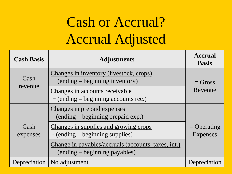# Cash or Accrual? Accrual Adjusted

| <b>Cash Basis</b> | <b>Adjustments</b>                                                                         | <b>Accrual</b><br><b>Basis</b>   |
|-------------------|--------------------------------------------------------------------------------------------|----------------------------------|
| Cash<br>revenue   | Changes in inventory (livestock, crops)<br>$+$ (ending $-$ beginning inventory)            | $=$ Gross                        |
|                   | Changes in accounts receivable<br>$+$ (ending $-$ beginning accounts rec.)                 | Revenue                          |
| Cash<br>expenses  | Changes in prepaid expenses<br>- (ending – beginning prepaid exp.)                         |                                  |
|                   | Changes in supplies and growing crops<br>- (ending – beginning supplies)                   | $=$ Operating<br><b>Expenses</b> |
|                   | Change in payables/accruals (accounts, taxes, int.)<br>$+$ (ending $-$ beginning payables) |                                  |
| Depreciation      | No adjustment                                                                              | Depreciation                     |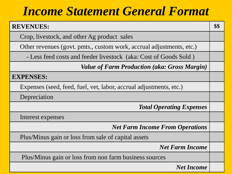#### *Income Statement General Format*

| <b>REVENUES:</b>                                                     |  |  |  |  |
|----------------------------------------------------------------------|--|--|--|--|
| Crop, livestock, and other Ag product sales                          |  |  |  |  |
| Other revenues (govt. pmts., custom work, accrual adjustments, etc.) |  |  |  |  |
| - Less feed costs and feeder livestock (aka: Cost of Goods Sold)     |  |  |  |  |
| <b>Value of Farm Production (aka: Gross Margin)</b>                  |  |  |  |  |
| <b>EXPENSES:</b>                                                     |  |  |  |  |
| Expenses (seed, feed, fuel, vet, labor, accrual adjustments, etc.)   |  |  |  |  |
| Depreciation                                                         |  |  |  |  |
| <b>Total Operating Expenses</b>                                      |  |  |  |  |
| Interest expenses                                                    |  |  |  |  |
| <b>Net Farm Income From Operations</b>                               |  |  |  |  |
| Plus/Minus gain or loss from sale of capital assets                  |  |  |  |  |
| <b>Net Farm Income</b>                                               |  |  |  |  |
| Plus/Minus gain or loss from non farm business sources               |  |  |  |  |
| <b>Net Income</b>                                                    |  |  |  |  |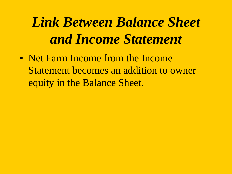# *Link Between Balance Sheet and Income Statement*

• Net Farm Income from the Income Statement becomes an addition to owner equity in the Balance Sheet.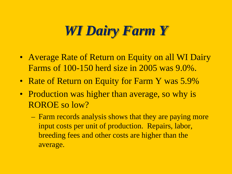### *WI Dairy Farm Y*

- Average Rate of Return on Equity on all WI Dairy Farms of 100-150 herd size in 2005 was 9.0%.
- Rate of Return on Equity for Farm Y was 5.9%
- Production was higher than average, so why is ROROE so low?
	- Farm records analysis shows that they are paying more input costs per unit of production. Repairs, labor, breeding fees and other costs are higher than the average.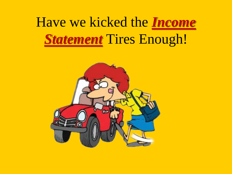# Have we kicked the *Income*  **Statement Tires Enough!**

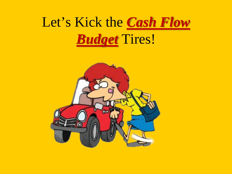## Let's Kick the *Cash Flow Budget* Tires!

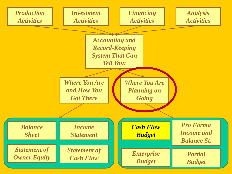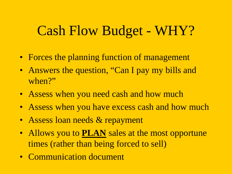#### Cash Flow Budget - WHY?

- Forces the planning function of management
- Answers the question, "Can I pay my bills and when?"
- Assess when you need cash and how much
- Assess when you have excess cash and how much
- Assess loan needs & repayment
- Allows you to **PLAN** sales at the most opportune times (rather than being forced to sell)
- Communication document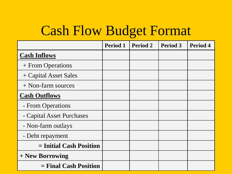### Cash Flow Budget Format

|                           | <b>Period 1</b> | <b>Period 2</b> | <b>Period 3</b> | <b>Period 4</b> |
|---------------------------|-----------------|-----------------|-----------------|-----------------|
| <b>Cash Inflows</b>       |                 |                 |                 |                 |
| + From Operations         |                 |                 |                 |                 |
| + Capital Asset Sales     |                 |                 |                 |                 |
| $+$ Non-farm sources      |                 |                 |                 |                 |
| <b>Cash Outflows</b>      |                 |                 |                 |                 |
| - From Operations         |                 |                 |                 |                 |
| - Capital Asset Purchases |                 |                 |                 |                 |
| - Non-farm outlays        |                 |                 |                 |                 |
| - Debt repayment          |                 |                 |                 |                 |
| $=$ Initial Cash Position |                 |                 |                 |                 |
| + New Borrowing           |                 |                 |                 |                 |
| $=$ Final Cash Position   |                 |                 |                 |                 |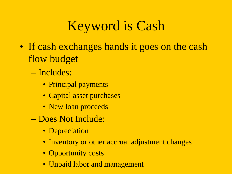## Keyword is Cash

- If cash exchanges hands it goes on the cash flow budget
	- Includes:
		- Principal payments
		- Capital asset purchases
		- New loan proceeds
	- Does Not Include:
		- Depreciation
		- Inventory or other accrual adjustment changes
		- Opportunity costs
		- Unpaid labor and management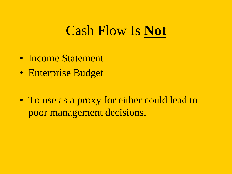#### Cash Flow Is **Not**

- Income Statement
- Enterprise Budget
- To use as a proxy for either could lead to poor management decisions.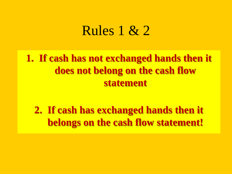#### Rules 1 & 2

**1. If cash has not exchanged hands then it does not belong on the cash flow statement**

**2. If cash has exchanged hands then it belongs on the cash flow statement!**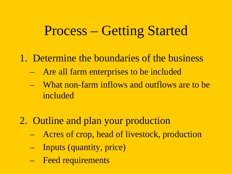#### Process – Getting Started

- 1. Determine the boundaries of the business
	- Are all farm enterprises to be included
	- What non-farm inflows and outflows are to be included
- 2. Outline and plan your production
	- Acres of crop, head of livestock, production
	- Inputs (quantity, price)
	- Feed requirements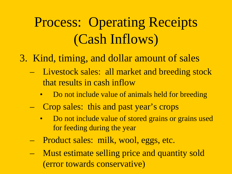## Process: Operating Receipts (Cash Inflows)

- 3. Kind, timing, and dollar amount of sales
	- Livestock sales: all market and breeding stock that results in cash inflow
		- Do not include value of animals held for breeding
	- Crop sales: this and past year's crops
		- Do not include value of stored grains or grains used for feeding during the year
	- Product sales: milk, wool, eggs, etc.
	- Must estimate selling price and quantity sold (error towards conservative)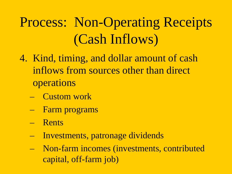# Process: Non-Operating Receipts (Cash Inflows)

- 4. Kind, timing, and dollar amount of cash inflows from sources other than direct operations
	- Custom work
	- Farm programs
	- Rents
	- Investments, patronage dividends
	- Non-farm incomes (investments, contributed capital, off-farm job)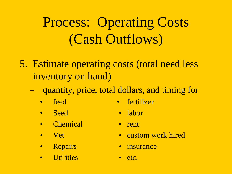# Process: Operating Costs (Cash Outflows)

- 5. Estimate operating costs (total need less inventory on hand)
	- quantity, price, total dollars, and timing for
		- feed fertilizer
		- Seed labor
- - Chemical rent
	-
	-
	- Utilities etc.
- 
- Vet custom work hired
- Repairs insurance
	-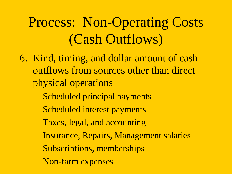# Process: Non-Operating Costs (Cash Outflows)

- 6. Kind, timing, and dollar amount of cash outflows from sources other than direct physical operations
	- Scheduled principal payments
	- Scheduled interest payments
	- Taxes, legal, and accounting
	- Insurance, Repairs, Management salaries
	- Subscriptions, memberships
	- Non-farm expenses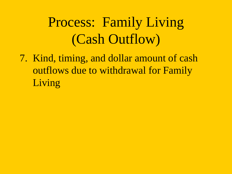# Process: Family Living (Cash Outflow)

7. Kind, timing, and dollar amount of cash outflows due to withdrawal for Family Living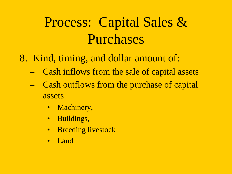## Process: Capital Sales & Purchases

- 8. Kind, timing, and dollar amount of:
	- Cash inflows from the sale of capital assets
	- Cash outflows from the purchase of capital assets
		- Machinery,
		- Buildings,
		- Breeding livestock
		- Land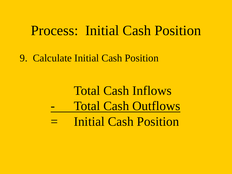#### Process: Initial Cash Position

9. Calculate Initial Cash Position

### Total Cash Inflows Total Cash Outflows Initial Cash Position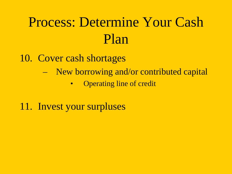## Process: Determine Your Cash Plan

#### 10. Cover cash shortages

- New borrowing and/or contributed capital
	- Operating line of credit

#### 11. Invest your surpluses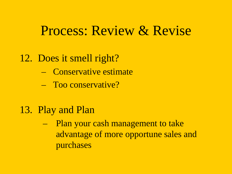#### Process: Review & Revise

#### 12. Does it smell right?

- Conservative estimate
- Too conservative?
- 13. Play and Plan
	- Plan your cash management to take advantage of more opportune sales and purchases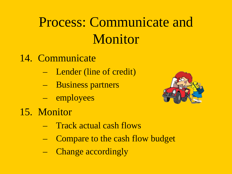# Process: Communicate and Monitor

- 14. Communicate
	- Lender (line of credit)
	- Business partners
	- employees
- 15. Monitor

- Track actual cash flows
- Compare to the cash flow budget
- Change accordingly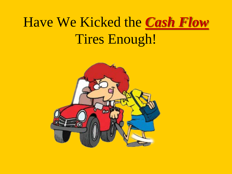## Have We Kicked the *Cash Flow* Tires Enough!

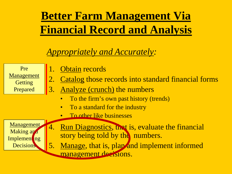#### **Better Farm Management Via Financial Record and Analysis**

#### *Appropriately and Accurately:*

Pre Management **Getting** Prepared

- 1. Obtain records
- 2. Catalog those records into standard financial forms
- 3. Analyze (crunch) the numbers
	- To the firm's own past history (trends)
	- To a standard for the industry
	- To other like businesses

Management Making and Implement<sub>ing</sub> **Decisions** 

- 4. Run Diagnostics, that is, evaluate the financial story being told by the numbers.
- 5. Manage, that is, plan and implement informed management decisions.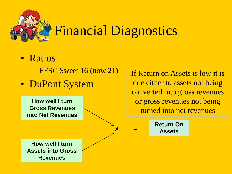

- Ratios
	- FFSC Sweet 16 (now 21)
- DuPont System

**Return On Assets <sup>X</sup> <sup>=</sup> How well I turn Assets into Gross Revenues How well I turn Gross Revenues into Net Revenues** or gross revenues not being turned into net revenues

If Return on Assets is low it is

due either to assets not being

converted into gross revenues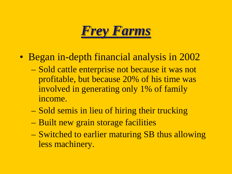

- Began in-depth financial analysis in 2002
	- Sold cattle enterprise not because it was not profitable, but because 20% of his time was involved in generating only 1% of family income.
	- Sold semis in lieu of hiring their trucking
	- Built new grain storage facilities
	- Switched to earlier maturing SB thus allowing less machinery.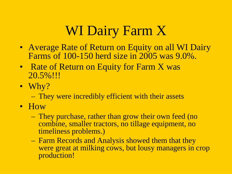## WI Dairy Farm X

- Average Rate of Return on Equity on all WI Dairy Farms of 100-150 herd size in 2005 was 9.0%.
- Rate of Return on Equity for Farm X was 20.5%!!!
- Why?
	- They were incredibly efficient with their assets
- How
	- They purchase, rather than grow their own feed (no combine, smaller tractors, no tillage equipment, no timeliness problems.)
	- Farm Records and Analysis showed them that they were great at milking cows, but lousy managers in crop production!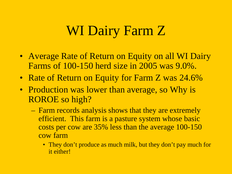### WI Dairy Farm Z

- Average Rate of Return on Equity on all WI Dairy Farms of 100-150 herd size in 2005 was 9.0%.
- Rate of Return on Equity for Farm Z was 24.6%
- Production was lower than average, so Why is ROROE so high?
	- Farm records analysis shows that they are extremely efficient. This farm is a pasture system whose basic costs per cow are 35% less than the average 100-150 cow farm
		- They don't produce as much milk, but they don't pay much for it either!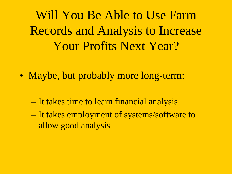Will You Be Able to Use Farm Records and Analysis to Increase Your Profits Next Year?

- Maybe, but probably more long-term:
	- It takes time to learn financial analysis
	- It takes employment of systems/software to allow good analysis